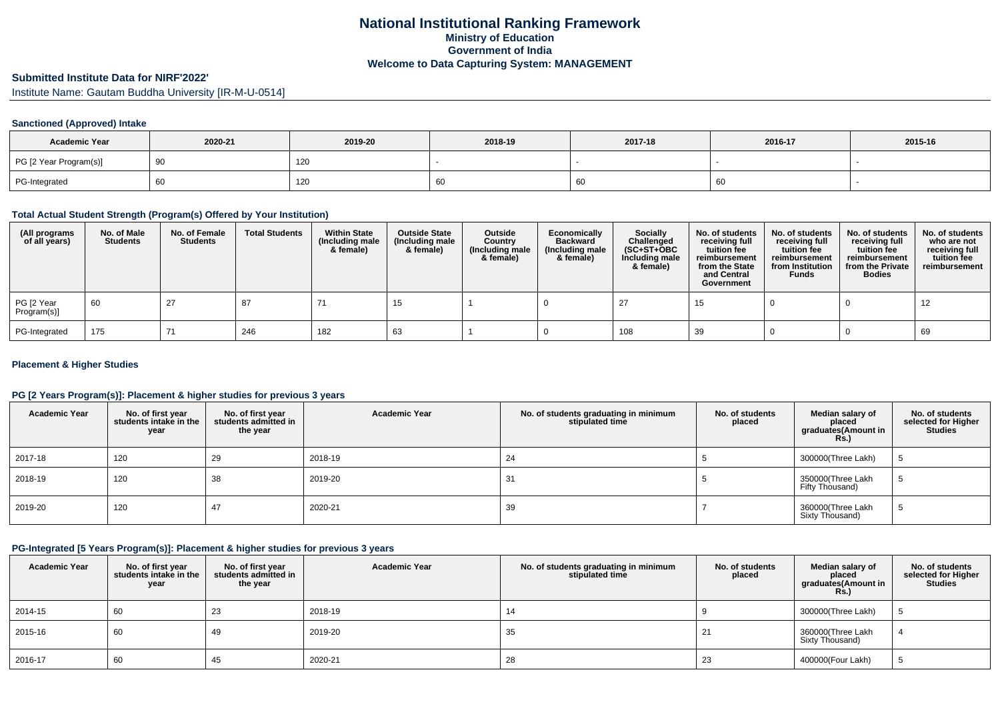#### **Submitted Institute Data for NIRF'2022'**

Institute Name: Gautam Buddha University [IR-M-U-0514]

### **Sanctioned (Approved) Intake**

| <b>Academic Year</b>   | 2020-21 | 2019-20 | 2018-19 | 2017-18 | 2016-17 | 2015-16 |
|------------------------|---------|---------|---------|---------|---------|---------|
| PG [2 Year Program(s)] |         | 120     |         |         |         |         |
| PG-Integrated          |         | 120     | ιoυ     |         | 60      |         |

#### **Total Actual Student Strength (Program(s) Offered by Your Institution)**

| (All programs<br>of all years) | No. of Male<br><b>Students</b> | No. of Female<br><b>Students</b> | <b>Total Students</b> | <b>Within State</b><br>(Including male<br>& female) | <b>Outside State</b><br>(Including male)<br>& female) | Outside<br>Country<br>(Including male<br>& female) | Economically<br><b>Backward</b><br>(Including male<br>& female) | <b>Socially</b><br>Challenged<br>$(SC+ST+OBC)$<br>Including male<br>& female) | No. of students<br>receiving full<br>tuition fee<br>reimbursement<br>from the State<br>and Central<br>Government | No. of students<br>receiving full<br>tuition fee<br>reimbursement<br>from Institution<br><b>Funds</b> | No. of students<br>receiving full<br>tuition fee<br>reimbursement<br>from the Private<br><b>Bodies</b> | No. of students<br>who are not<br>receiving full<br>tuition fee<br>reimbursement |
|--------------------------------|--------------------------------|----------------------------------|-----------------------|-----------------------------------------------------|-------------------------------------------------------|----------------------------------------------------|-----------------------------------------------------------------|-------------------------------------------------------------------------------|------------------------------------------------------------------------------------------------------------------|-------------------------------------------------------------------------------------------------------|--------------------------------------------------------------------------------------------------------|----------------------------------------------------------------------------------|
| PG [2 Year<br>Program(s)]      | 60                             | 27                               | 87                    |                                                     | 15                                                    |                                                    |                                                                 |                                                                               | 15                                                                                                               |                                                                                                       |                                                                                                        |                                                                                  |
| PG-Integrated                  | 175                            | 71                               | 246                   | 182                                                 | 63                                                    |                                                    |                                                                 | 108                                                                           | 39                                                                                                               |                                                                                                       |                                                                                                        | 69                                                                               |

#### **Placement & Higher Studies**

#### **PG [2 Years Program(s)]: Placement & higher studies for previous 3 years**

| <b>Academic Year</b> | No. of first year<br>students intake in the<br>year | No. of first vear<br>students admitted in<br>the year | <b>Academic Year</b> | No. of students graduating in minimum<br>stipulated time | No. of students<br>placed | Median salary of<br>placed<br>graduates(Amount in<br>Rs.) | No. of students<br>selected for Higher<br><b>Studies</b> |
|----------------------|-----------------------------------------------------|-------------------------------------------------------|----------------------|----------------------------------------------------------|---------------------------|-----------------------------------------------------------|----------------------------------------------------------|
| 2017-18              | 120                                                 | 29                                                    | 2018-19              | 24                                                       |                           | 300000(Three Lakh)                                        |                                                          |
| 2018-19              | 120                                                 | 38                                                    | 2019-20              | 31                                                       |                           | 350000(Three Lakh<br>Fifty Thousand)                      | G                                                        |
| 2019-20              | 120                                                 | 47                                                    | 2020-21              | 39                                                       |                           | 360000(Three Lakh<br>Sixty Thousand)                      | Ð                                                        |

#### **PG-Integrated [5 Years Program(s)]: Placement & higher studies for previous 3 years**

| <b>Academic Year</b> | No. of first year<br>students intake in the<br>year | No. of first year<br>students admitted in<br>the year | <b>Academic Year</b> | No. of students graduating in minimum<br>stipulated time | No. of students<br>placed | Median salary of<br>placed<br>graduates(Amount in<br><b>Rs.)</b> | No. of students<br>selected for Higher<br>Studies |
|----------------------|-----------------------------------------------------|-------------------------------------------------------|----------------------|----------------------------------------------------------|---------------------------|------------------------------------------------------------------|---------------------------------------------------|
| 2014-15              | 60                                                  | -23                                                   | 2018-19              |                                                          |                           | 300000(Three Lakh)                                               |                                                   |
| 2015-16              | 60                                                  | -49                                                   | 2019-20              | 35                                                       | 21                        | 360000(Three Lakh<br>Sixty Thousand)                             |                                                   |
| 2016-17              | 60                                                  | 45                                                    | 2020-21              | 28                                                       | 23                        | 400000(Four Lakh)                                                |                                                   |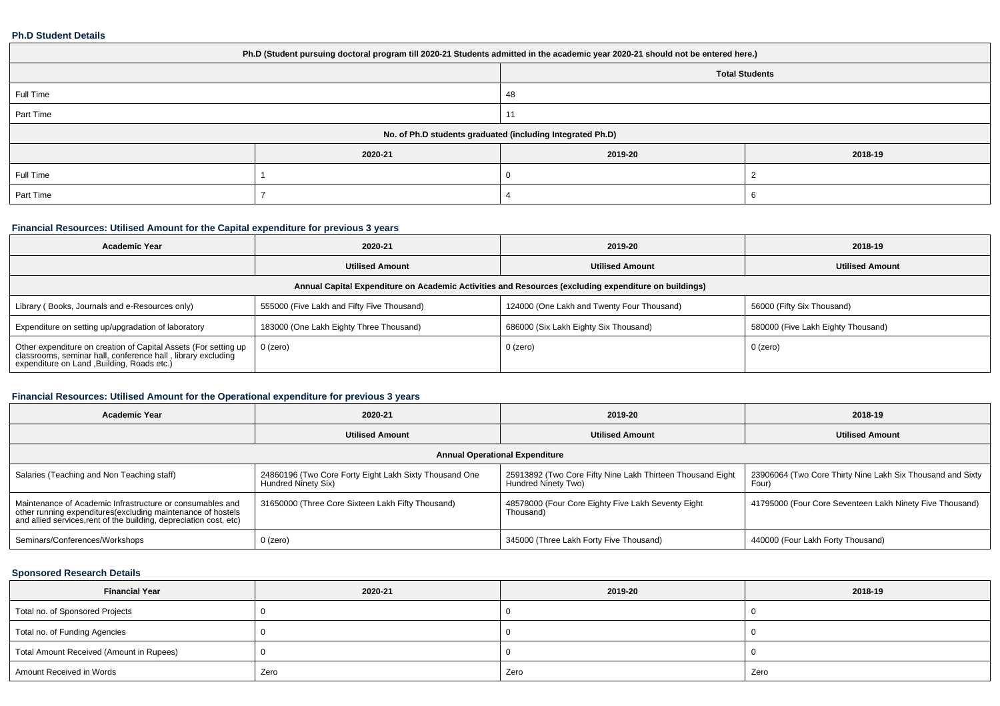#### **Ph.D Student Details**

| Ph.D (Student pursuing doctoral program till 2020-21 Students admitted in the academic year 2020-21 should not be entered here.) |                                                            |                       |         |  |  |  |
|----------------------------------------------------------------------------------------------------------------------------------|------------------------------------------------------------|-----------------------|---------|--|--|--|
|                                                                                                                                  |                                                            | <b>Total Students</b> |         |  |  |  |
| Full Time                                                                                                                        |                                                            | 48                    |         |  |  |  |
| Part Time                                                                                                                        |                                                            | $1^{\circ}$           |         |  |  |  |
|                                                                                                                                  | No. of Ph.D students graduated (including Integrated Ph.D) |                       |         |  |  |  |
|                                                                                                                                  | 2020-21                                                    | 2019-20               | 2018-19 |  |  |  |
| Full Time                                                                                                                        |                                                            |                       |         |  |  |  |
| Part Time                                                                                                                        |                                                            |                       |         |  |  |  |

# **Financial Resources: Utilised Amount for the Capital expenditure for previous 3 years**

| <b>Academic Year</b>                                                                                                                                                           | 2020-21                                    | 2019-20                                    | 2018-19                            |  |  |  |  |
|--------------------------------------------------------------------------------------------------------------------------------------------------------------------------------|--------------------------------------------|--------------------------------------------|------------------------------------|--|--|--|--|
|                                                                                                                                                                                | <b>Utilised Amount</b>                     | <b>Utilised Amount</b>                     | <b>Utilised Amount</b>             |  |  |  |  |
| Annual Capital Expenditure on Academic Activities and Resources (excluding expenditure on buildings)                                                                           |                                            |                                            |                                    |  |  |  |  |
| Library (Books, Journals and e-Resources only)                                                                                                                                 | 555000 (Five Lakh and Fifty Five Thousand) | 124000 (One Lakh and Twenty Four Thousand) | 56000 (Fifty Six Thousand)         |  |  |  |  |
| Expenditure on setting up/upgradation of laboratory                                                                                                                            | 183000 (One Lakh Eighty Three Thousand)    | 686000 (Six Lakh Eighty Six Thousand)      | 580000 (Five Lakh Eighty Thousand) |  |  |  |  |
| Other expenditure on creation of Capital Assets (For setting up<br>classrooms, seminar hall, conference hall, library excluding<br>expenditure on Land , Building, Roads etc.) | 0 (zero)                                   | 0 (zero)                                   | 0 (zero)                           |  |  |  |  |

# **Financial Resources: Utilised Amount for the Operational expenditure for previous 3 years**

| <b>Academic Year</b>                                                                                                                                                                           | 2020-21                                                                       | 2019-20                                                                           | 2018-19                                                             |  |  |  |  |  |
|------------------------------------------------------------------------------------------------------------------------------------------------------------------------------------------------|-------------------------------------------------------------------------------|-----------------------------------------------------------------------------------|---------------------------------------------------------------------|--|--|--|--|--|
|                                                                                                                                                                                                | <b>Utilised Amount</b>                                                        | <b>Utilised Amount</b>                                                            | <b>Utilised Amount</b>                                              |  |  |  |  |  |
| <b>Annual Operational Expenditure</b>                                                                                                                                                          |                                                                               |                                                                                   |                                                                     |  |  |  |  |  |
| Salaries (Teaching and Non Teaching staff)                                                                                                                                                     | 24860196 (Two Core Forty Eight Lakh Sixty Thousand One<br>Hundred Ninety Six) | 25913892 (Two Core Fifty Nine Lakh Thirteen Thousand Eight<br>Hundred Ninety Two) | 23906064 (Two Core Thirty Nine Lakh Six Thousand and Sixty<br>Four) |  |  |  |  |  |
| Maintenance of Academic Infrastructure or consumables and<br>other running expenditures(excluding maintenance of hostels<br>and allied services, rent of the building, depreciation cost, etc) | 31650000 (Three Core Sixteen Lakh Fifty Thousand)                             | 48578000 (Four Core Eighty Five Lakh Seventy Eight<br>Thousand)                   | 41795000 (Four Core Seventeen Lakh Ninety Five Thousand)            |  |  |  |  |  |
| Seminars/Conferences/Workshops                                                                                                                                                                 | $0$ (zero)                                                                    | 345000 (Three Lakh Forty Five Thousand)                                           | 440000 (Four Lakh Forty Thousand)                                   |  |  |  |  |  |

### **Sponsored Research Details**

| <b>Financial Year</b>                    | 2020-21 | 2019-20 | 2018-19 |
|------------------------------------------|---------|---------|---------|
| Total no. of Sponsored Projects          |         |         |         |
| Total no. of Funding Agencies            |         |         |         |
| Total Amount Received (Amount in Rupees) |         |         |         |
| Amount Received in Words                 | Zero    | Zero    | Zero    |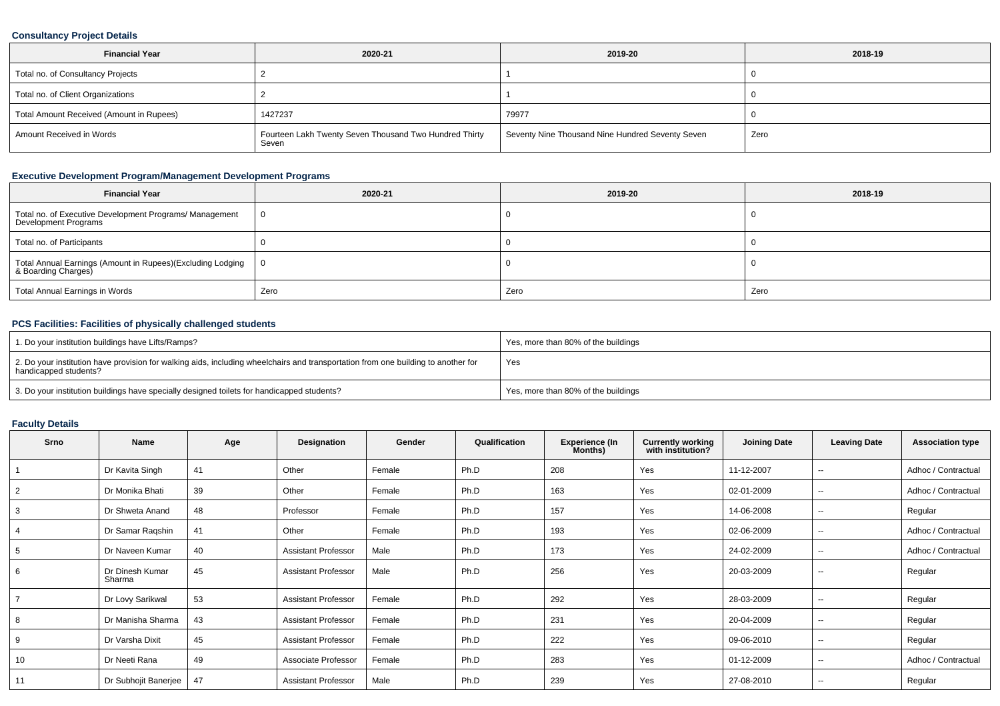### **Consultancy Project Details**

| <b>Financial Year</b>                    | 2020-21                                                         | 2019-20                                          | 2018-19 |
|------------------------------------------|-----------------------------------------------------------------|--------------------------------------------------|---------|
| Total no. of Consultancy Projects        |                                                                 |                                                  |         |
| Total no. of Client Organizations        |                                                                 |                                                  |         |
| Total Amount Received (Amount in Rupees) | 1427237                                                         | 79977                                            |         |
| Amount Received in Words                 | Fourteen Lakh Twenty Seven Thousand Two Hundred Thirty<br>Seven | Seventy Nine Thousand Nine Hundred Seventy Seven | Zero    |

# **Executive Development Program/Management Development Programs**

| <b>Financial Year</b>                                                             | 2020-21        | 2019-20 | 2018-19 |
|-----------------------------------------------------------------------------------|----------------|---------|---------|
| Total no. of Executive Development Programs/ Management<br>Development Programs   | $\overline{0}$ |         |         |
| Total no. of Participants                                                         |                |         |         |
| Total Annual Earnings (Amount in Rupees)(Excluding Lodging<br>& Boarding Charges) | - 0            |         |         |
| Total Annual Earnings in Words                                                    | Zero           | Zero    | Zero    |

# **PCS Facilities: Facilities of physically challenged students**

| 1. Do your institution buildings have Lifts/Ramps?                                                                                                         | Yes, more than 80% of the buildings |
|------------------------------------------------------------------------------------------------------------------------------------------------------------|-------------------------------------|
| 2. Do your institution have provision for walking aids, including wheelchairs and transportation from one building to another for<br>handicapped students? | Yes                                 |
| 3. Do your institution buildings have specially designed toilets for handicapped students?                                                                 | Yes, more than 80% of the buildings |

# **Faculty Details**

| Srno           | Name                      | Age | Designation                | Gender | Qualification | <b>Experience (In</b><br>Months) | <b>Currently working</b><br>with institution? | <b>Joining Date</b> | <b>Leaving Date</b>      | <b>Association type</b> |
|----------------|---------------------------|-----|----------------------------|--------|---------------|----------------------------------|-----------------------------------------------|---------------------|--------------------------|-------------------------|
|                | Dr Kavita Singh           | 41  | Other                      | Female | Ph.D          | 208                              | Yes                                           | 11-12-2007          | $\sim$                   | Adhoc / Contractual     |
| $\overline{2}$ | Dr Monika Bhati           | 39  | Other                      | Female | Ph.D          | 163                              | Yes                                           | 02-01-2009          | $\sim$                   | Adhoc / Contractual     |
| 3              | Dr Shweta Anand           | 48  | Professor                  | Female | Ph.D          | 157                              | Yes                                           | 14-06-2008          | $\sim$                   | Regular                 |
| 4              | Dr Samar Ragshin          | 41  | Other                      | Female | Ph.D          | 193                              | Yes                                           | 02-06-2009          | $\sim$                   | Adhoc / Contractual     |
| 5              | Dr Naveen Kumar           | 40  | <b>Assistant Professor</b> | Male   | Ph.D          | 173                              | Yes                                           | 24-02-2009          | $\sim$                   | Adhoc / Contractual     |
| 6              | Dr Dinesh Kumar<br>Sharma | 45  | <b>Assistant Professor</b> | Male   | Ph.D          | 256                              | Yes                                           | 20-03-2009          | $\overline{\phantom{a}}$ | Regular                 |
|                | Dr Lovy Sarikwal          | 53  | <b>Assistant Professor</b> | Female | Ph.D          | 292                              | Yes                                           | 28-03-2009          | $\sim$                   | Regular                 |
| 8              | Dr Manisha Sharma         | 43  | <b>Assistant Professor</b> | Female | Ph.D          | 231                              | Yes                                           | 20-04-2009          | --                       | Regular                 |
| 9              | Dr Varsha Dixit           | 45  | <b>Assistant Professor</b> | Female | Ph.D          | 222                              | Yes                                           | 09-06-2010          | $\overline{\phantom{a}}$ | Regular                 |
| 10             | Dr Neeti Rana             | 49  | Associate Professor        | Female | Ph.D          | 283                              | Yes                                           | 01-12-2009          | $\sim$                   | Adhoc / Contractual     |
| 11             | Dr Subhojit Banerjee      | 47  | <b>Assistant Professor</b> | Male   | Ph.D          | 239                              | Yes                                           | 27-08-2010          | $\sim$                   | Regular                 |